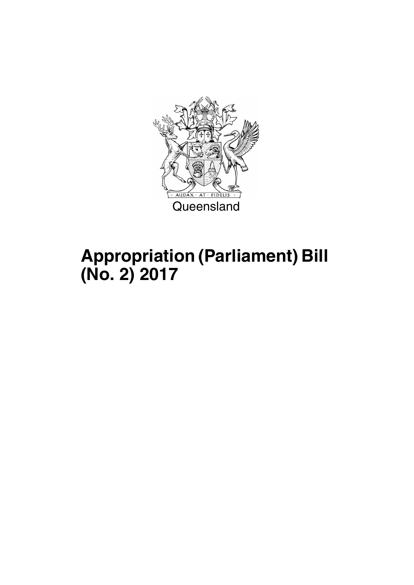

## **Appropriation (Parliament) Bill (No. 2) 2017**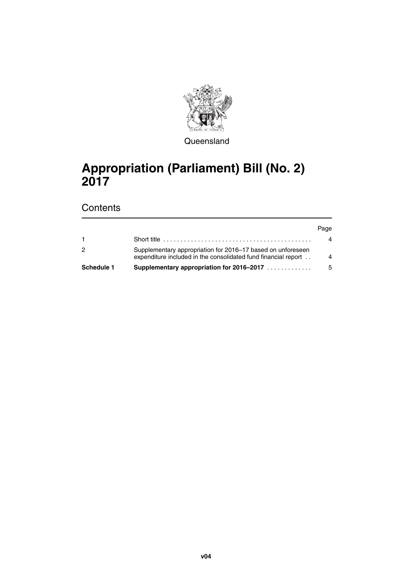

**Queensland** 

### **Appropriation (Parliament) Bill (No. 2) 2017**

### **Contents**

#### Page

| <b>Schedule 1</b> | Supplementary appropriation for 2016-2017                                                                                     | -5 |
|-------------------|-------------------------------------------------------------------------------------------------------------------------------|----|
|                   | Supplementary appropriation for 2016–17 based on unforeseen<br>expenditure included in the consolidated fund financial report | 4  |
|                   |                                                                                                                               | 4  |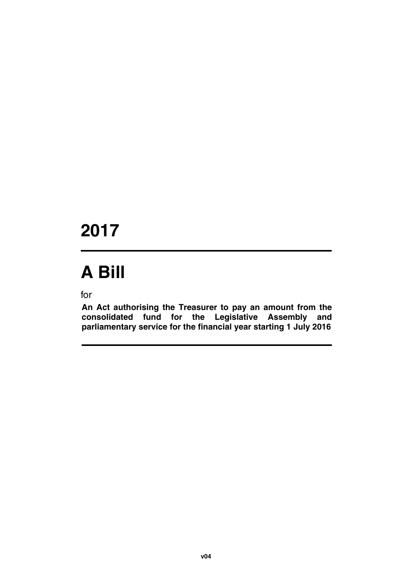## **2017**

# **A Bill**

for

**An Act authorising the Treasurer to pay an amount from the consolidated fund for the Legislative Assembly and parliamentary service for the financial year starting 1 July 2016**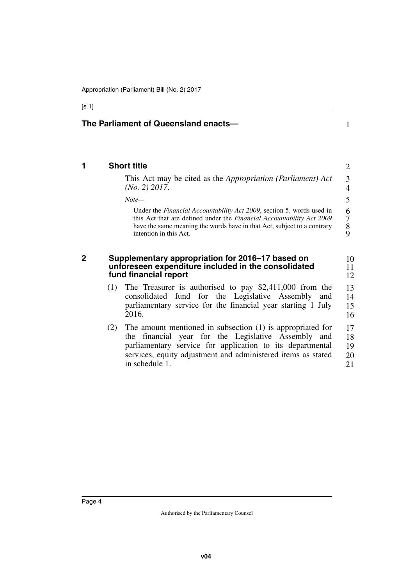#### [s 1]

<span id="page-5-3"></span><span id="page-5-2"></span><span id="page-5-1"></span><span id="page-5-0"></span>

|     | The Parliament of Queensland enacts—                                                                                                                                                                                                                        | 1                            |
|-----|-------------------------------------------------------------------------------------------------------------------------------------------------------------------------------------------------------------------------------------------------------------|------------------------------|
|     | <b>Short title</b>                                                                                                                                                                                                                                          | 2                            |
|     | This Act may be cited as the Appropriation (Parliament) Act<br>$(No. 2)$ 2017.                                                                                                                                                                              | 3<br>4                       |
|     | $Note-$                                                                                                                                                                                                                                                     | 5                            |
|     | Under the <i>Financial Accountability Act 2009</i> , section 5, words used in<br>this Act that are defined under the Financial Accountability Act 2009<br>have the same meaning the words have in that Act, subject to a contrary<br>intention in this Act. | 6<br>$\tau$<br>$\frac{8}{9}$ |
|     | Supplementary appropriation for 2016-17 based on<br>unforeseen expenditure included in the consolidated<br>fund financial report                                                                                                                            | 10<br>11                     |
| (1) |                                                                                                                                                                                                                                                             | 12                           |
|     | The Treasurer is authorised to pay $$2,411,000$ from the<br>consolidated fund for the Legislative Assembly<br>and<br>parliamentary service for the financial year starting 1 July<br>2016.                                                                  | 13<br>14<br>15<br>16         |